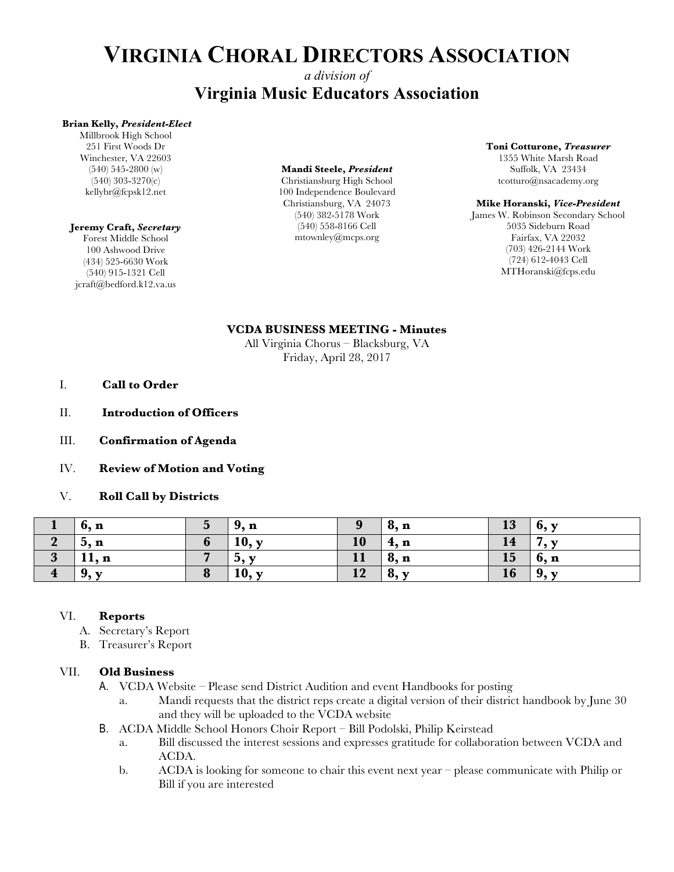# **VIRGINIA CHORAL DIRECTORS ASSOCIATION**

# *a division of* **Virginia Music Educators Association**

### **Brian Kelly,** *President-Elect*

Millbrook High School 251 First Woods Dr Winchester, VA 22603 (540) 545-2800 (w) (540) 303-3270(c) kellybr@fcpsk12.net

### **Jeremy Craft,** *Secretary*

Forest Middle School 100 Ashwood Drive (434) 525-6630 Work (540) 915-1321 Cell jcraft@bedford.k12.va.us

### **Mandi Steele,** *President*

Christiansburg High School 100 Independence Boulevard Christiansburg, VA 24073 (540) 382-5178 Work (540) 558-8166 Cell mtownley@mcps.org

#### **Toni Cotturone,** *Treasurer*

1355 White Marsh Road Suffolk, VA 23434 tcotturo@nsacademy.org

### **Mike Horanski,** *Vice-President*

James W. Robinson Secondary School 5035 Sideburn Road Fairfax, VA 22032 (703) 426-2144 Work (724) 612-4043 Cell MTHoranski@fcps.edu

### **VCDA BUSINESS MEETING - Minutes**

All Virginia Chorus – Blacksburg, VA Friday, April 28, 2017

- I. **Call to Order**
- II. **Introduction of Officers**
- III. **Confirmation of Agenda**
- IV. **Review of Motion and Voting**
- V. **Roll Call by Districts**

|                         | 6, n  | $\overline{\mathbf{5}}$ | 9, n                     | 9  | $\bf{8, n}$      | 13 | 6, y         |
|-------------------------|-------|-------------------------|--------------------------|----|------------------|----|--------------|
|                         | 5, n  | $\mathbf{v}$            | 10, y                    | 10 | 4, n             | 14 | $\mathbf{v}$ |
|                         | 11, n |                         | $\mathbf{b}, \mathbf{y}$ | 11 | $^{\prime}8$ , n | 15 | $\vert 6, n$ |
| $\overline{\mathbf{4}}$ | 9, y  |                         | 10, y                    | 12 | 8, y             | 16 | 9, y         |

### VI. **Reports**

- A. Secretary's Report
- B. Treasurer's Report

### VII. **Old Business**

- A. VCDA Website Please send District Audition and event Handbooks for posting
	- a. Mandi requests that the district reps create a digital version of their district handbook by June 30 and they will be uploaded to the VCDA website
- B. ACDA Middle School Honors Choir Report Bill Podolski, Philip Keirstead
	- a. Bill discussed the interest sessions and expresses gratitude for collaboration between VCDA and ACDA.
	- b. ACDA is looking for someone to chair this event next year please communicate with Philip or Bill if you are interested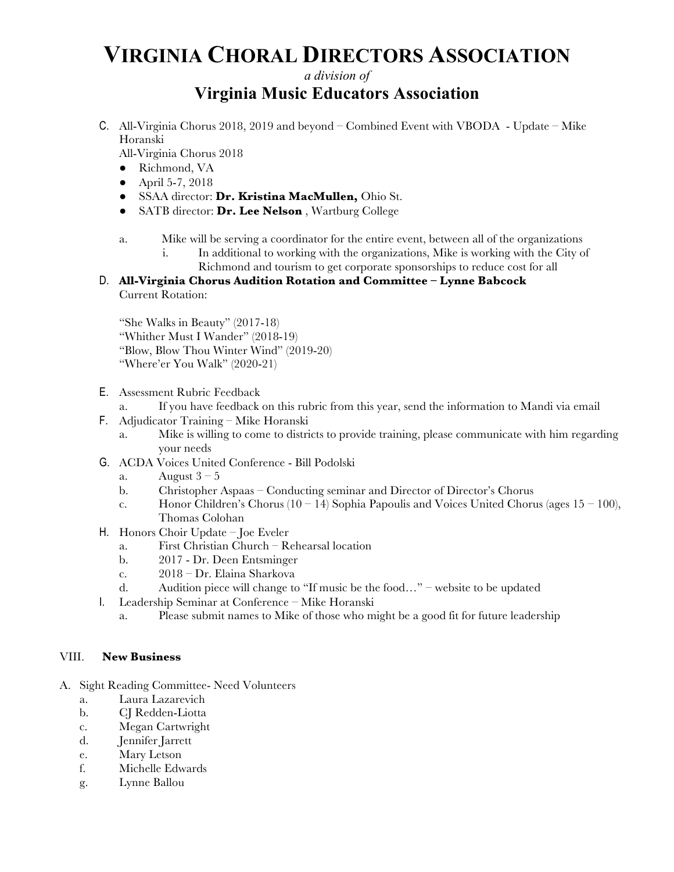# **VIRGINIA CHORAL DIRECTORS ASSOCIATION**

## *a division of* **Virginia Music Educators Association**

C. All-Virginia Chorus 2018, 2019 and beyond – Combined Event with VBODA - Update – Mike Horanski

All-Virginia Chorus 2018

- Richmond, VA
- April 5-7, 2018
- SSAA director: **Dr. Kristina MacMullen,** Ohio St.
- SATB director: **Dr. Lee Nelson** , Wartburg College

## a. Mike will be serving a coordinator for the entire event, between all of the organizations

i. In additional to working with the organizations, Mike is working with the City of Richmond and tourism to get corporate sponsorships to reduce cost for all

## D. **All-Virginia Chorus Audition Rotation and Committee – Lynne Babcock** Current Rotation:

"She Walks in Beauty" (2017-18) "Whither Must I Wander" (2018-19) "Blow, Blow Thou Winter Wind" (2019-20) "Where'er You Walk" (2020-21)

- E. Assessment Rubric Feedback
	- a. If you have feedback on this rubric from this year, send the information to Mandi via email
- F. Adjudicator Training Mike Horanski
	- a. Mike is willing to come to districts to provide training, please communicate with him regarding your needs
- G. ACDA Voices United Conference Bill Podolski
	- a. August  $3 5$
	- b. Christopher Aspaas Conducting seminar and Director of Director's Chorus
	- c. Honor Children's Chorus (10 14) Sophia Papoulis and Voices United Chorus (ages  $15 100$ ), Thomas Colohan
- H. Honors Choir Update Joe Eveler
	- a. First Christian Church Rehearsal location
	- b. 2017 Dr. Deen Entsminger
	- c. 2018 Dr. Elaina Sharkova
	- d. Audition piece will change to "If music be the food…" website to be updated
- I. Leadership Seminar at Conference Mike Horanski
	- a. Please submit names to Mike of those who might be a good fit for future leadership

## VIII. **New Business**

- A. Sight Reading Committee- Need Volunteers
	- a. Laura Lazarevich
	- b. CJ Redden-Liotta
	- c. Megan Cartwright
	- d. Jennifer Jarrett
	- e. Mary Letson
	- f. Michelle Edwards
	- g. Lynne Ballou